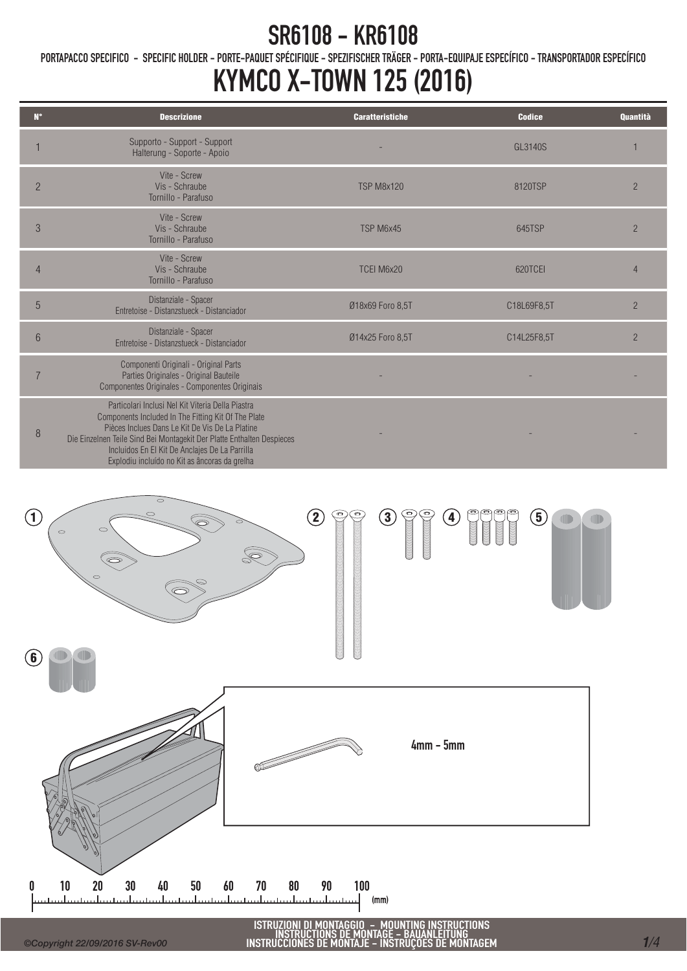PORTAPACCO SPECIFICO - SPECIFIC HOLDER - PORTE-PAQUET SPÉCIFIQUE - SPEZIFISCHER TRÄGER - PORTA-EQUIPAJE ESPECÍFICO - TRANSPORTADOR ESPECÍFICO

### KYMCO X-TOWN 125 (2016)

| $N^{\circ}$      | <b>Descrizione</b>                                                                                                                                                                                                                                                                                                                       | <b>Caratteristiche</b> | <b>Codice</b> | <b>Quantità</b> |
|------------------|------------------------------------------------------------------------------------------------------------------------------------------------------------------------------------------------------------------------------------------------------------------------------------------------------------------------------------------|------------------------|---------------|-----------------|
|                  | Supporto - Support - Support<br>Halterung - Soporte - Apoio                                                                                                                                                                                                                                                                              |                        | GL3140S       |                 |
| $\overline{2}$   | Vite - Screw<br>Vis - Schraube<br>Tornillo - Parafuso                                                                                                                                                                                                                                                                                    | <b>TSP M8x120</b>      | 8120TSP       | $\overline{2}$  |
| 3                | Vite - Screw<br>Vis - Schraube<br>Tornillo - Parafuso                                                                                                                                                                                                                                                                                    | TSP M6x45              | 645TSP        | $\overline{2}$  |
| $\overline{4}$   | Vite - Screw<br>Vis - Schraube<br>Tornillo - Parafuso                                                                                                                                                                                                                                                                                    | TCEI M6x20             | 620TCEI       | 4               |
| 5                | Distanziale - Spacer<br>Entretoise - Distanzstueck - Distanciador                                                                                                                                                                                                                                                                        | Ø18x69 Foro 8,5T       | C18L69F8,5T   | $\overline{2}$  |
| 6                | Distanziale - Spacer<br>Entretoise - Distanzstueck - Distanciador                                                                                                                                                                                                                                                                        | Ø14x25 Foro 8,5T       | C14L25F8,5T   | $\overline{2}$  |
|                  | Componenti Originali - Original Parts<br>Parties Originales - Original Bauteile<br>Componentes Originales - Componentes Originais                                                                                                                                                                                                        |                        |               |                 |
| $\boldsymbol{8}$ | Particolari Inclusi Nel Kit Viteria Della Piastra<br>Components Included In The Fitting Kit Of The Plate<br>Pièces Inclues Dans Le Kit De Vis De La Platine<br>Die Einzelnen Teile Sind Bei Montagekit Der Platte Enthalten Despieces<br>Incluidos En El Kit De Anclajes De La Parrilla<br>Explodiu incluído no Kit as âncoras da grelha |                        |               |                 |



ISTRUZIONI DI MONTAGGIO – MOUNTING INSTRUCTIONS<br>INSTRUCTIONS DE MONTAGE – BAUANLEITUNG<br>INSTRUCCIONES DE MONTAJE – INSTRUÇÕES DE MONTAGEM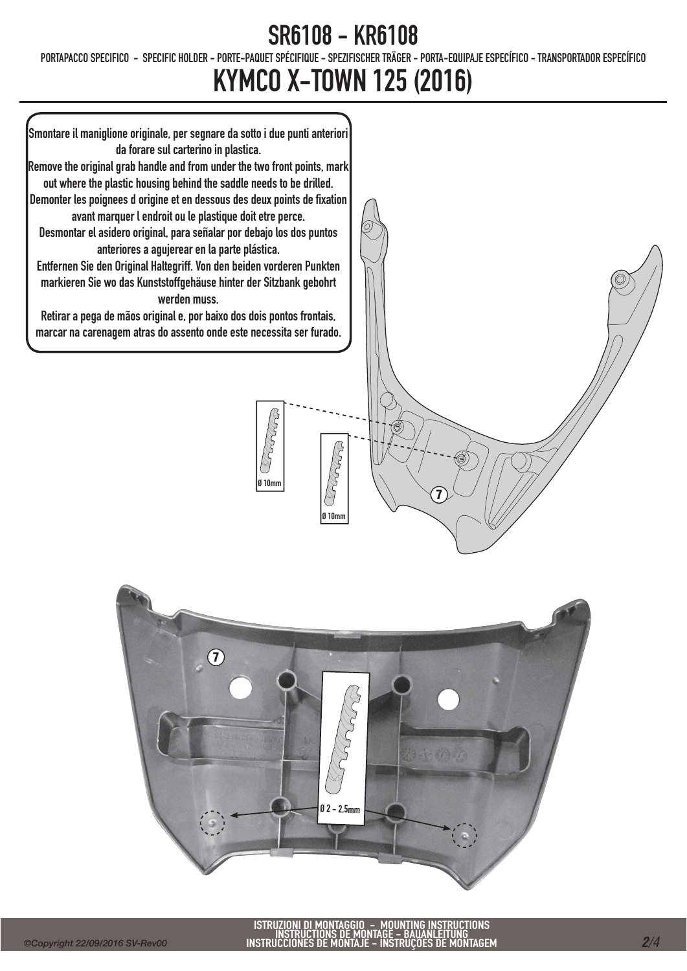PORTAPACCO SPECIFICO - SPECIFIC HOLDER - PORTE-PAQUET SPÉCIFIQUE - SPEZIFISCHER TRÄGER - PORTA-EQUIPAJE ESPECÍFICO - TRANSPORTADOR ESPECÍFICO

### KYMCO X-TOWN 125 (2016)

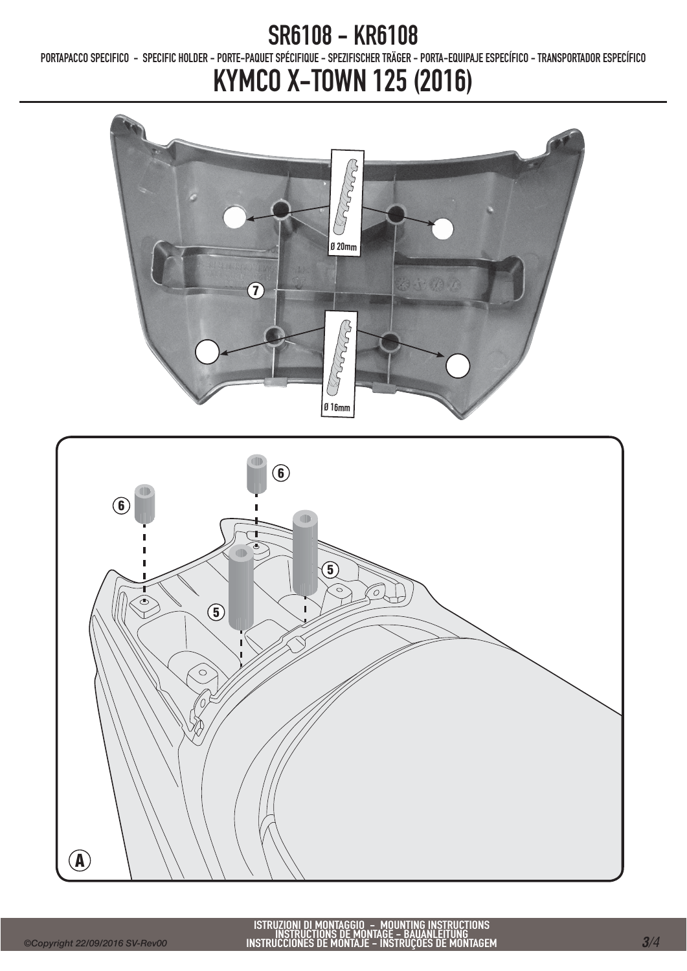PORTAPACCO SPECIFICO - SPECIFIC HOLDER - PORTE-PAQUET SPÉCIFIQUE - SPEZIFISCHER TRÄGER - PORTA-EQUIPAJE ESPECÍFICO - TRANSPORTADOR ESPECÍFICO

## KYMCO X-TOWN 125 (2016)